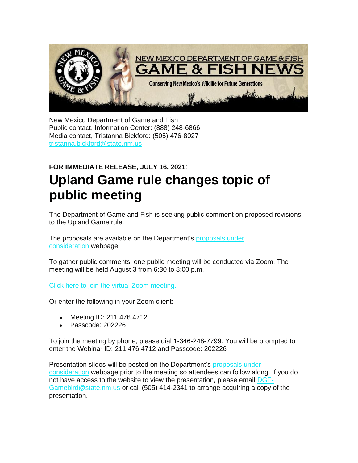

New Mexico Department of Game and Fish Public contact, Information Center: (888) 248-6866 Media contact, Tristanna Bickford: (505) 476-8027 [tristanna.bickford@state.nm.us](mailto:tristanna.bickford@state.nm.us)

## **FOR IMMEDIATE RELEASE, JULY 16, 2021**: **Upland Game rule changes topic of public meeting**

The Department of Game and Fish is seeking public comment on proposed revisions to the Upland Game rule.

The proposals are available on the Department's [proposals](https://lnks.gd/l/eyJhbGciOiJIUzI1NiJ9.eyJidWxsZXRpbl9saW5rX2lkIjoxMDAsInVyaSI6ImJwMjpjbGljayIsImJ1bGxldGluX2lkIjoiMjAyMTA3MTYuNDMzMDM2NjEiLCJ1cmwiOiJodHRwczovL3Byb3RlY3QtdXMubWltZWNhc3QuY29tL3MvTTUxSUNKNjJwVlR4RDNFekludWZHRT9kb21haW49bG5rcy5nZCJ9.zD-nPHWE2nOIBeKJEh8EEvXt9PxF6p77yJp54q1KJa0/s/112836253/br/109437911134-l) under [consideration](https://lnks.gd/l/eyJhbGciOiJIUzI1NiJ9.eyJidWxsZXRpbl9saW5rX2lkIjoxMDAsInVyaSI6ImJwMjpjbGljayIsImJ1bGxldGluX2lkIjoiMjAyMTA3MTYuNDMzMDM2NjEiLCJ1cmwiOiJodHRwczovL3Byb3RlY3QtdXMubWltZWNhc3QuY29tL3MvTTUxSUNKNjJwVlR4RDNFekludWZHRT9kb21haW49bG5rcy5nZCJ9.zD-nPHWE2nOIBeKJEh8EEvXt9PxF6p77yJp54q1KJa0/s/112836253/br/109437911134-l) webpage.

To gather public comments, one public meeting will be conducted via Zoom. The meeting will be held August 3 from 6:30 to 8:00 p.m.

[Click here to join the virtual Zoom meeting.](https://lnks.gd/l/eyJhbGciOiJIUzI1NiJ9.eyJidWxsZXRpbl9saW5rX2lkIjoxMDEsInVyaSI6ImJwMjpjbGljayIsImJ1bGxldGluX2lkIjoiMjAyMTA3MTYuNDMzMDM2NjEiLCJ1cmwiOiJodHRwczovL3pvb20udXMvai8yMTE0NzY0NzEyP3B3ZD1RbGhVT0RreWExTXpNV0V6YWtsQlZGTjBiVEpuVVQwOSJ9.zFNUVP0xolxS_99RxZQgJjlx5zhlC-mC8ejKCzSa2wE/s/112836253/br/109437911134-l)

Or enter the following in your Zoom client:

- Meeting ID: 211 476 4712
- Passcode: 202226

To join the meeting by phone, please dial 1-346-248-7799. You will be prompted to enter the Webinar ID: 211 476 4712 and Passcode: 202226

Presentation slides will be posted on the Department's [proposals under](https://lnks.gd/l/eyJhbGciOiJIUzI1NiJ9.eyJidWxsZXRpbl9saW5rX2lkIjoxMDIsInVyaSI6ImJwMjpjbGljayIsImJ1bGxldGluX2lkIjoiMjAyMTA3MTYuNDMzMDM2NjEiLCJ1cmwiOiJodHRwczovL3Byb3RlY3QtdXMubWltZWNhc3QuY29tL3MvVFo5ckNMOTJyWEhMWnluT0lrMVBxZj9kb21haW49bG5rcy5nZCJ9.22BRjxpOODmCR8_3egwPMhMRSDI2eZY_35GdTuHiv5Y/s/112836253/br/109437911134-l)  [consideration](https://lnks.gd/l/eyJhbGciOiJIUzI1NiJ9.eyJidWxsZXRpbl9saW5rX2lkIjoxMDIsInVyaSI6ImJwMjpjbGljayIsImJ1bGxldGluX2lkIjoiMjAyMTA3MTYuNDMzMDM2NjEiLCJ1cmwiOiJodHRwczovL3Byb3RlY3QtdXMubWltZWNhc3QuY29tL3MvVFo5ckNMOTJyWEhMWnluT0lrMVBxZj9kb21haW49bG5rcy5nZCJ9.22BRjxpOODmCR8_3egwPMhMRSDI2eZY_35GdTuHiv5Y/s/112836253/br/109437911134-l) webpage prior to the meeting so attendees can follow along. If you do not have access to the website to view the presentation, please email [DGF-](mailto:DGF-Gamebird@state.nm.us)[Gamebird@state.nm.us](mailto:DGF-Gamebird@state.nm.us) or call (505) 414-2341 to arrange acquiring a copy of the presentation.